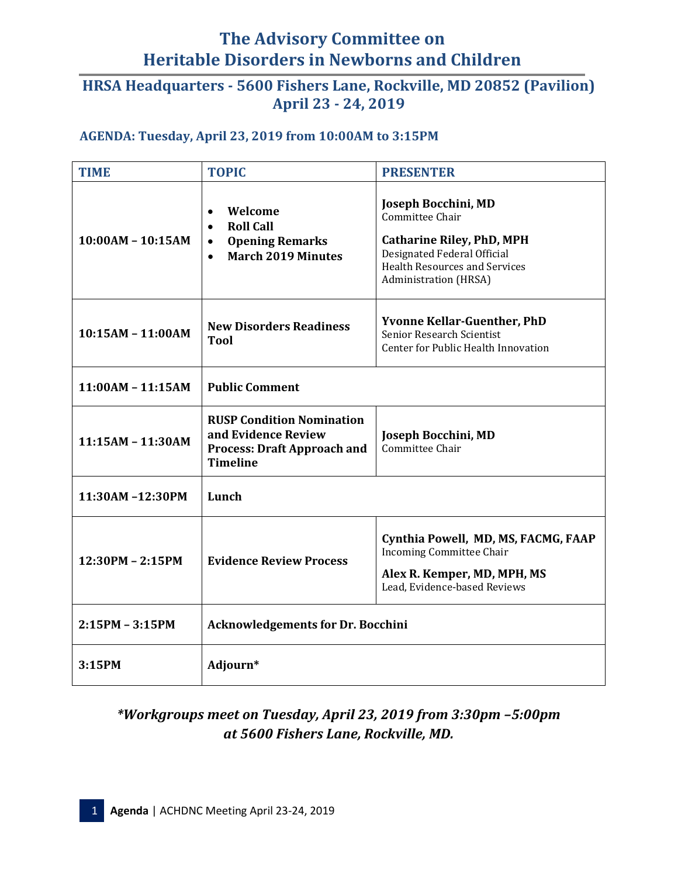# **The Advisory Committee on Heritable Disorders in Newborns and Children**

### **April 23 - 24, 2019 HRSA Headquarters - 5600 Fishers Lane, Rockville, MD 20852 (Pavilion)**

#### **AGENDA: Tuesday, April 23, 2019 from 10:00AM to 3:15PM**

| <b>TIME</b>         | <b>TOPIC</b>                                                                                                                           | <b>PRESENTER</b>                                                                                                                                                                  |  |
|---------------------|----------------------------------------------------------------------------------------------------------------------------------------|-----------------------------------------------------------------------------------------------------------------------------------------------------------------------------------|--|
| $10:00AM - 10:15AM$ | Welcome<br>$\bullet$<br><b>Roll Call</b><br>$\bullet$<br><b>Opening Remarks</b><br>$\bullet$<br><b>March 2019 Minutes</b><br>$\bullet$ | Joseph Bocchini, MD<br>Committee Chair<br><b>Catharine Riley, PhD, MPH</b><br>Designated Federal Official<br><b>Health Resources and Services</b><br><b>Administration</b> (HRSA) |  |
| 10:15AM - 11:00AM   | <b>New Disorders Readiness</b><br><b>Tool</b>                                                                                          | <b>Yvonne Kellar-Guenther, PhD</b><br>Senior Research Scientist<br>Center for Public Health Innovation                                                                            |  |
| $11:00AM - 11:15AM$ | <b>Public Comment</b>                                                                                                                  |                                                                                                                                                                                   |  |
| $11:15AM - 11:30AM$ | <b>RUSP Condition Nomination</b><br>and Evidence Review<br><b>Process: Draft Approach and</b><br><b>Timeline</b>                       | Joseph Bocchini, MD<br>Committee Chair                                                                                                                                            |  |
| 11:30AM-12:30PM     | Lunch                                                                                                                                  |                                                                                                                                                                                   |  |
| 12:30PM - 2:15PM    | <b>Evidence Review Process</b>                                                                                                         | Cynthia Powell, MD, MS, FACMG, FAAP<br><b>Incoming Committee Chair</b><br>Alex R. Kemper, MD, MPH, MS<br>Lead, Evidence-based Reviews                                             |  |
| $2:15PM - 3:15PM$   | <b>Acknowledgements for Dr. Bocchini</b>                                                                                               |                                                                                                                                                                                   |  |
| 3:15PM              | Adjourn*                                                                                                                               |                                                                                                                                                                                   |  |

## *\*Workgroups meet on Tuesday, April 23, 2019 from 3:30pm –5:00pm at 5600 Fishers Lane, Rockville, MD.*